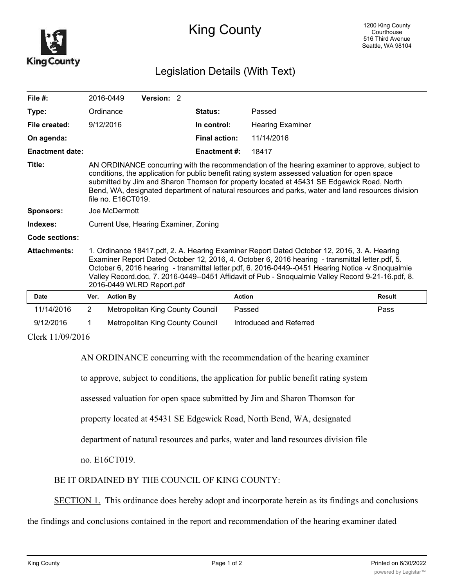

## King County

## Legislation Details (With Text)

| File $#$ :             |                                                                                                                                                                                                                                                                                                                                                                                                                                       | 2016-0449        | Version: 2                       |  |                      |                         |               |
|------------------------|---------------------------------------------------------------------------------------------------------------------------------------------------------------------------------------------------------------------------------------------------------------------------------------------------------------------------------------------------------------------------------------------------------------------------------------|------------------|----------------------------------|--|----------------------|-------------------------|---------------|
| Type:                  |                                                                                                                                                                                                                                                                                                                                                                                                                                       | Ordinance        |                                  |  | <b>Status:</b>       | Passed                  |               |
| File created:          |                                                                                                                                                                                                                                                                                                                                                                                                                                       | 9/12/2016        |                                  |  | In control:          | <b>Hearing Examiner</b> |               |
| On agenda:             |                                                                                                                                                                                                                                                                                                                                                                                                                                       |                  |                                  |  | <b>Final action:</b> | 11/14/2016              |               |
| <b>Enactment date:</b> |                                                                                                                                                                                                                                                                                                                                                                                                                                       |                  |                                  |  | Enactment #:         | 18417                   |               |
| Title:                 | AN ORDINANCE concurring with the recommendation of the hearing examiner to approve, subject to<br>conditions, the application for public benefit rating system assessed valuation for open space<br>submitted by Jim and Sharon Thomson for property located at 45431 SE Edgewick Road, North<br>Bend, WA, designated department of natural resources and parks, water and land resources division<br>file no. E16CT019.              |                  |                                  |  |                      |                         |               |
| <b>Sponsors:</b>       | Joe McDermott                                                                                                                                                                                                                                                                                                                                                                                                                         |                  |                                  |  |                      |                         |               |
| Indexes:               | Current Use, Hearing Examiner, Zoning                                                                                                                                                                                                                                                                                                                                                                                                 |                  |                                  |  |                      |                         |               |
| Code sections:         |                                                                                                                                                                                                                                                                                                                                                                                                                                       |                  |                                  |  |                      |                         |               |
| <b>Attachments:</b>    | 1. Ordinance 18417.pdf, 2. A. Hearing Examiner Report Dated October 12, 2016, 3. A. Hearing<br>Examiner Report Dated October 12, 2016, 4. October 6, 2016 hearing - transmittal letter.pdf, 5.<br>October 6, 2016 hearing - transmittal letter.pdf, 6. 2016-0449--0451 Hearing Notice -v Snoqualmie<br>Valley Record.doc, 7. 2016-0449--0451 Affidavit of Pub - Snoqualmie Valley Record 9-21-16.pdf, 8.<br>2016-0449 WLRD Report.pdf |                  |                                  |  |                      |                         |               |
| <b>Date</b>            | Ver.                                                                                                                                                                                                                                                                                                                                                                                                                                  | <b>Action By</b> |                                  |  |                      | <b>Action</b>           | <b>Result</b> |
| 11/14/2016             | 2                                                                                                                                                                                                                                                                                                                                                                                                                                     |                  | Metropolitan King County Council |  |                      | Passed                  | Pass          |
| 9/12/2016              | 1                                                                                                                                                                                                                                                                                                                                                                                                                                     |                  | Metropolitan King County Council |  |                      | Introduced and Referred |               |
| Clerk 11/09/2016       |                                                                                                                                                                                                                                                                                                                                                                                                                                       |                  |                                  |  |                      |                         |               |

AN ORDINANCE concurring with the recommendation of the hearing examiner

to approve, subject to conditions, the application for public benefit rating system

assessed valuation for open space submitted by Jim and Sharon Thomson for

property located at 45431 SE Edgewick Road, North Bend, WA, designated

department of natural resources and parks, water and land resources division file

no. E16CT019.

BE IT ORDAINED BY THE COUNCIL OF KING COUNTY:

SECTION 1. This ordinance does hereby adopt and incorporate herein as its findings and conclusions

the findings and conclusions contained in the report and recommendation of the hearing examiner dated